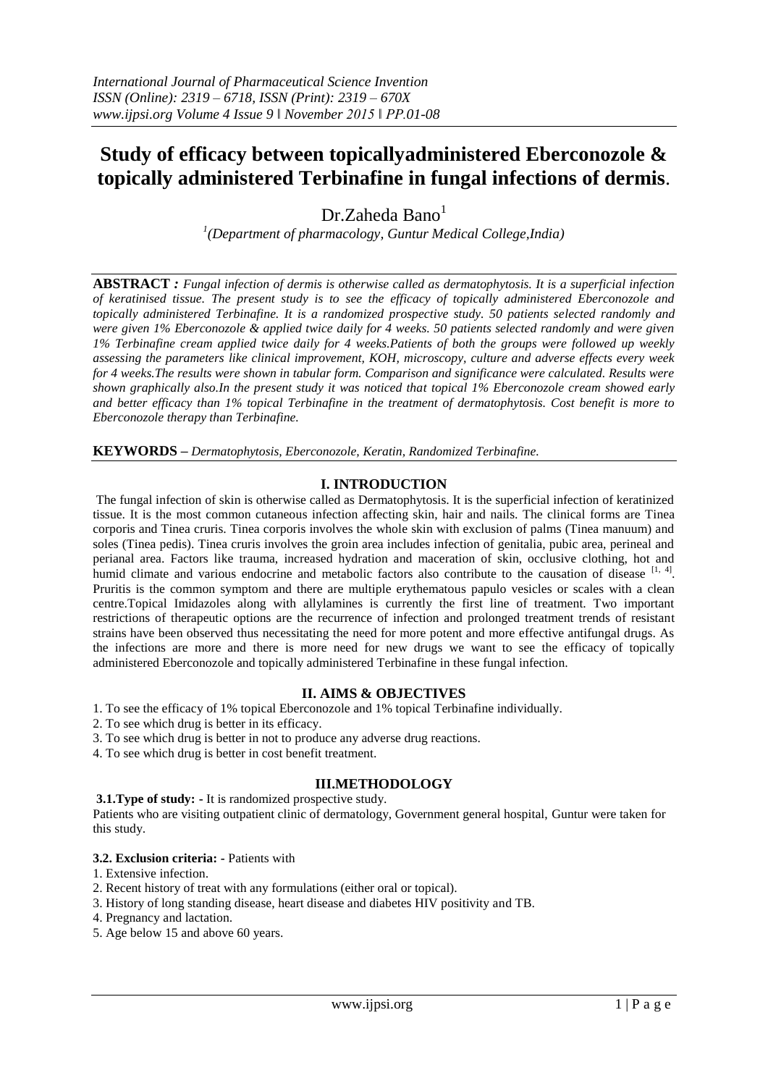# **Study of efficacy between topicallyadministered Eberconozole & topically administered Terbinafine in fungal infections of dermis**.

Dr.Zaheda Bano<sup>1</sup>

*1 (Department of pharmacology, Guntur Medical College,India)* 

**ABSTRACT** *: Fungal infection of dermis is otherwise called as dermatophytosis. It is a superficial infection of keratinised tissue. The present study is to see the efficacy of topically administered Eberconozole and topically administered Terbinafine. It is a randomized prospective study. 50 patients selected randomly and were given 1% Eberconozole & applied twice daily for 4 weeks. 50 patients selected randomly and were given 1% Terbinafine cream applied twice daily for 4 weeks.Patients of both the groups were followed up weekly assessing the parameters like clinical improvement, KOH, microscopy, culture and adverse effects every week for 4 weeks.The results were shown in tabular form. Comparison and significance were calculated. Results were shown graphically also.In the present study it was noticed that topical 1% Eberconozole cream showed early and better efficacy than 1% topical Terbinafine in the treatment of dermatophytosis. Cost benefit is more to Eberconozole therapy than Terbinafine.* 

**KEYWORDS** *– Dermatophytosis, Eberconozole, Keratin, Randomized Terbinafine.*

## **I. INTRODUCTION**

The fungal infection of skin is otherwise called as Dermatophytosis. It is the superficial infection of keratinized tissue. It is the most common cutaneous infection affecting skin, hair and nails. The clinical forms are Tinea corporis and Tinea cruris. Tinea corporis involves the whole skin with exclusion of palms (Tinea manuum) and soles (Tinea pedis). Tinea cruris involves the groin area includes infection of genitalia, pubic area, perineal and perianal area. Factors like trauma, increased hydration and maceration of skin, occlusive clothing, hot and humid climate and various endocrine and metabolic factors also contribute to the causation of disease [1, 4]. Pruritis is the common symptom and there are multiple erythematous papulo vesicles or scales with a clean centre.Topical Imidazoles along with allylamines is currently the first line of treatment. Two important restrictions of therapeutic options are the recurrence of infection and prolonged treatment trends of resistant strains have been observed thus necessitating the need for more potent and more effective antifungal drugs. As the infections are more and there is more need for new drugs we want to see the efficacy of topically administered Eberconozole and topically administered Terbinafine in these fungal infection.

## **II. AIMS & OBJECTIVES**

- 1. To see the efficacy of 1% topical Eberconozole and 1% topical Terbinafine individually.
- 2. To see which drug is better in its efficacy.
- 3. To see which drug is better in not to produce any adverse drug reactions.
- 4. To see which drug is better in cost benefit treatment.

## **III.METHODOLOGY**

#### **3.1.Type of study: -** It is randomized prospective study.

Patients who are visiting outpatient clinic of dermatology, Government general hospital, Guntur were taken for this study.

#### **3.2. Exclusion criteria: -** Patients with

- 1. Extensive infection.
- 2. Recent history of treat with any formulations (either oral or topical).
- 3. History of long standing disease, heart disease and diabetes HIV positivity and TB.
- 4. Pregnancy and lactation.
- 5. Age below 15 and above 60 years.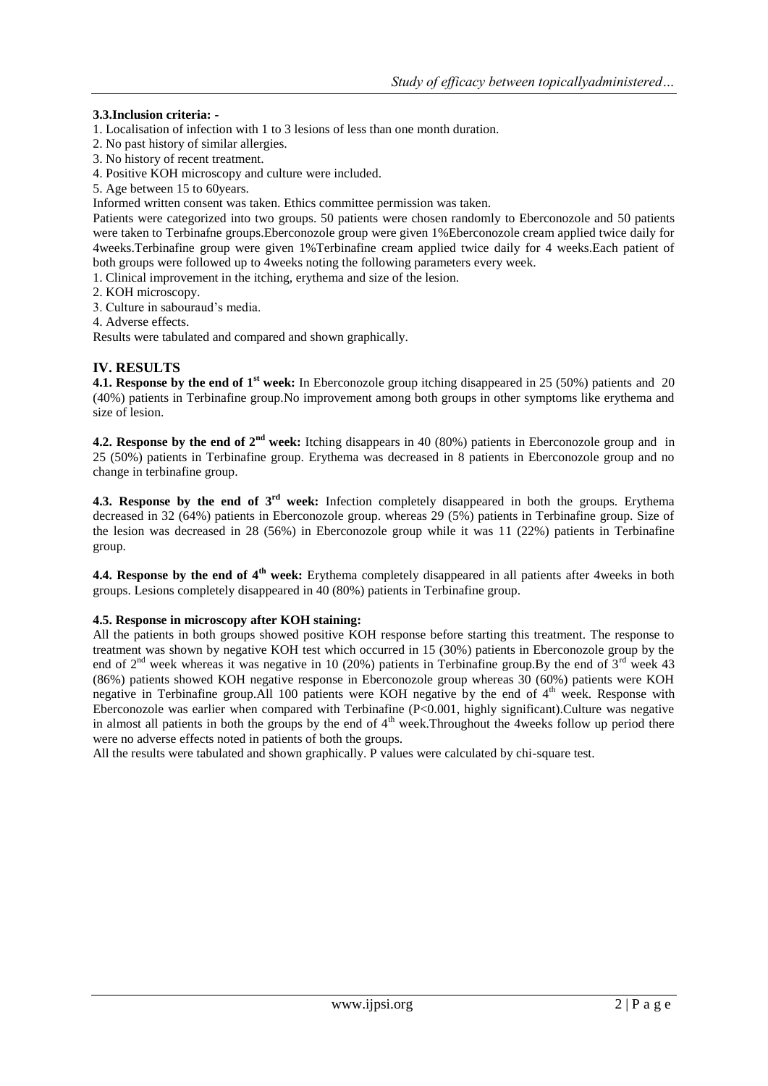## **3.3.Inclusion criteria: -**

- 1. Localisation of infection with 1 to 3 lesions of less than one month duration.
- 2. No past history of similar allergies.
- 3. No history of recent treatment.
- 4. Positive KOH microscopy and culture were included.
- 5. Age between 15 to 60years.
- Informed written consent was taken. Ethics committee permission was taken.

Patients were categorized into two groups. 50 patients were chosen randomly to Eberconozole and 50 patients were taken to Terbinafne groups.Eberconozole group were given 1%Eberconozole cream applied twice daily for 4weeks.Terbinafine group were given 1%Terbinafine cream applied twice daily for 4 weeks.Each patient of both groups were followed up to 4weeks noting the following parameters every week.

1. Clinical improvement in the itching, erythema and size of the lesion.

- 2. KOH microscopy.
- 3. Culture in sabouraud's media.
- 4. Adverse effects.

Results were tabulated and compared and shown graphically.

## **IV. RESULTS**

**4.1. Response by the end of 1<sup>st</sup>** week: In Eberconozole group itching disappeared in 25 (50%) patients and 20 (40%) patients in Terbinafine group.No improvement among both groups in other symptoms like erythema and size of lesion.

**4.2. Response by the end of 2nd week:** Itching disappears in 40 (80%) patients in Eberconozole group and in 25 (50%) patients in Terbinafine group. Erythema was decreased in 8 patients in Eberconozole group and no change in terbinafine group.

**4.3. Response by the end of 3rd week:** Infection completely disappeared in both the groups. Erythema decreased in 32 (64%) patients in Eberconozole group. whereas 29 (5%) patients in Terbinafine group. Size of the lesion was decreased in 28 (56%) in Eberconozole group while it was 11 (22%) patients in Terbinafine group.

**4.4. Response by the end of 4th week:** Erythema completely disappeared in all patients after 4weeks in both groups. Lesions completely disappeared in 40 (80%) patients in Terbinafine group.

#### **4.5. Response in microscopy after KOH staining:**

All the patients in both groups showed positive KOH response before starting this treatment. The response to treatment was shown by negative KOH test which occurred in 15 (30%) patients in Eberconozole group by the end of  $2^{nd}$  week whereas it was negative in 10 (20%) patients in Terbinafine group.By the end of  $3^{rd}$  week 43 (86%) patients showed KOH negative response in Eberconozole group whereas 30 (60%) patients were KOH negative in Terbinafine group.All 100 patients were KOH negative by the end of 4<sup>th</sup> week. Response with Eberconozole was earlier when compared with Terbinafine (P<0.001, highly significant).Culture was negative in almost all patients in both the groups by the end of  $4<sup>th</sup>$  week. Throughout the 4weeks follow up period there were no adverse effects noted in patients of both the groups.

All the results were tabulated and shown graphically. P values were calculated by chi-square test.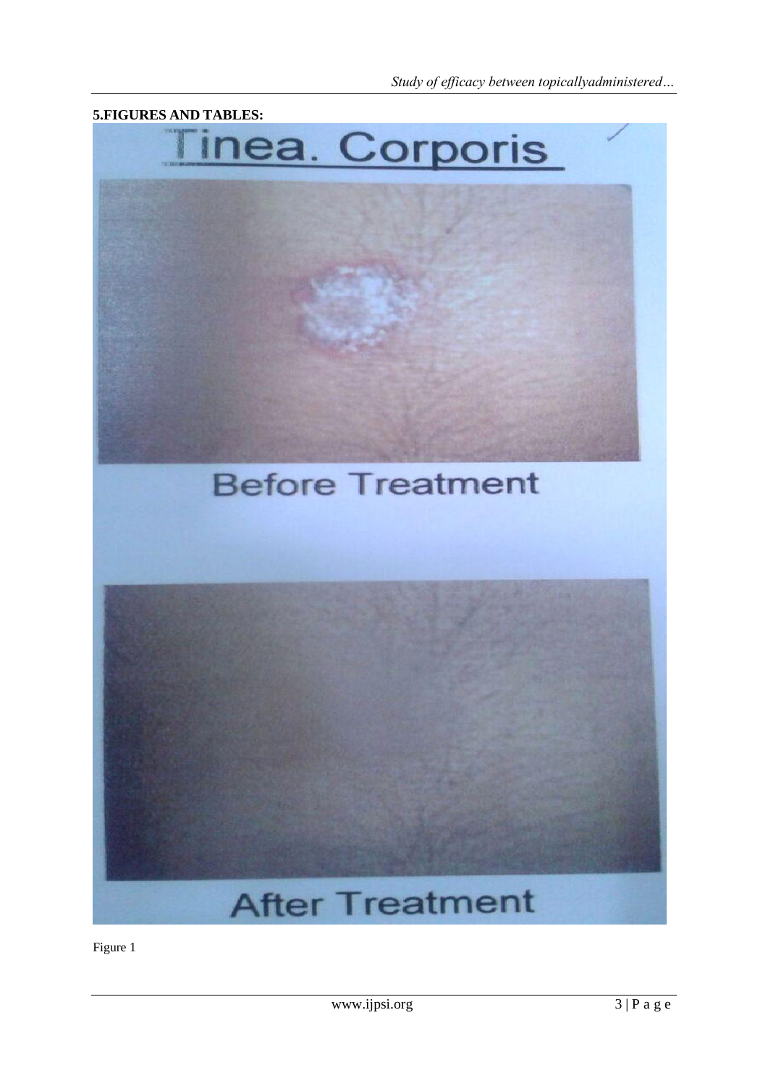

Figure 1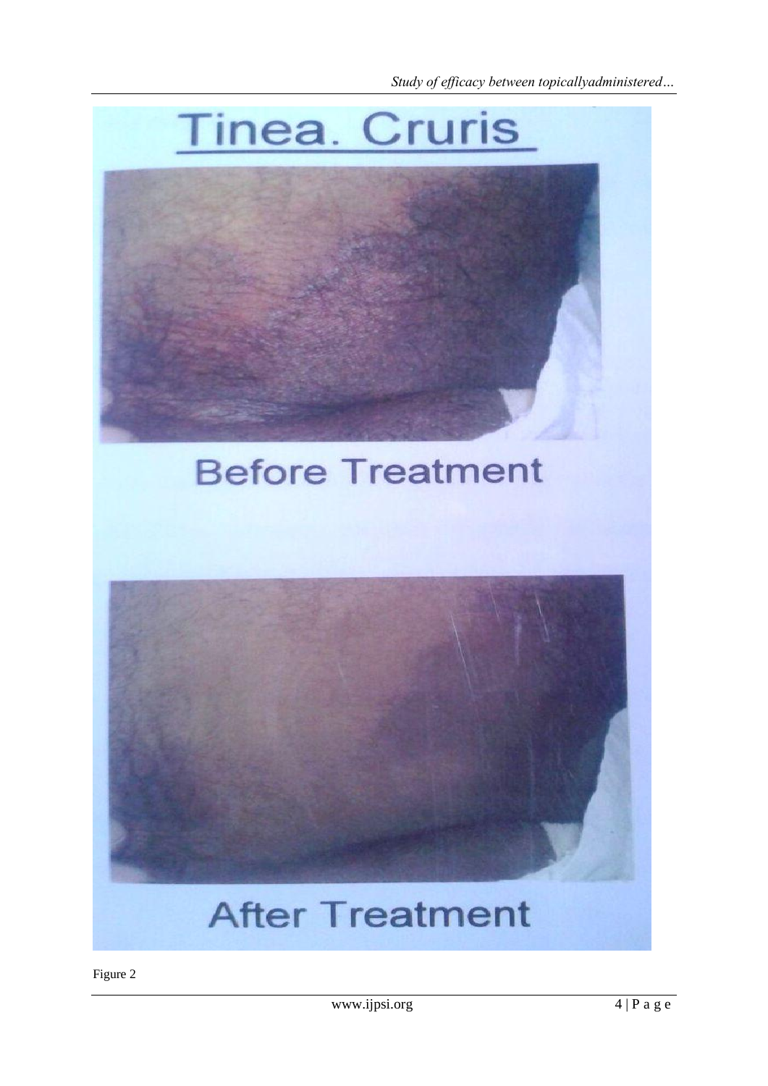

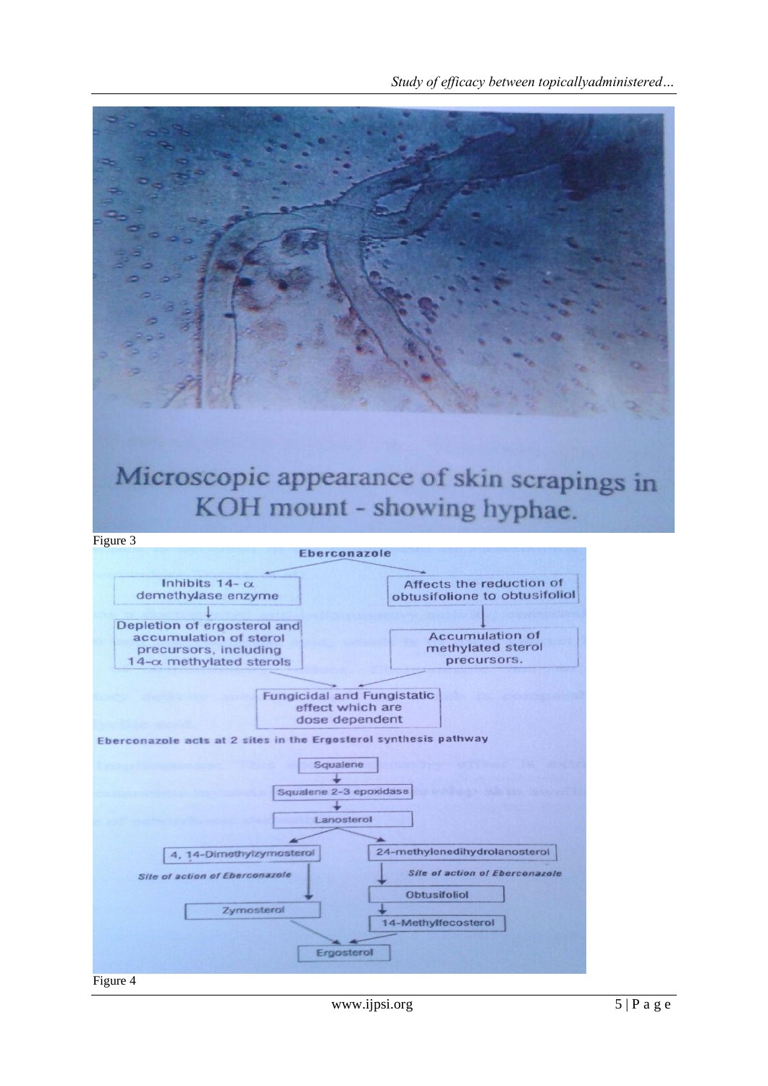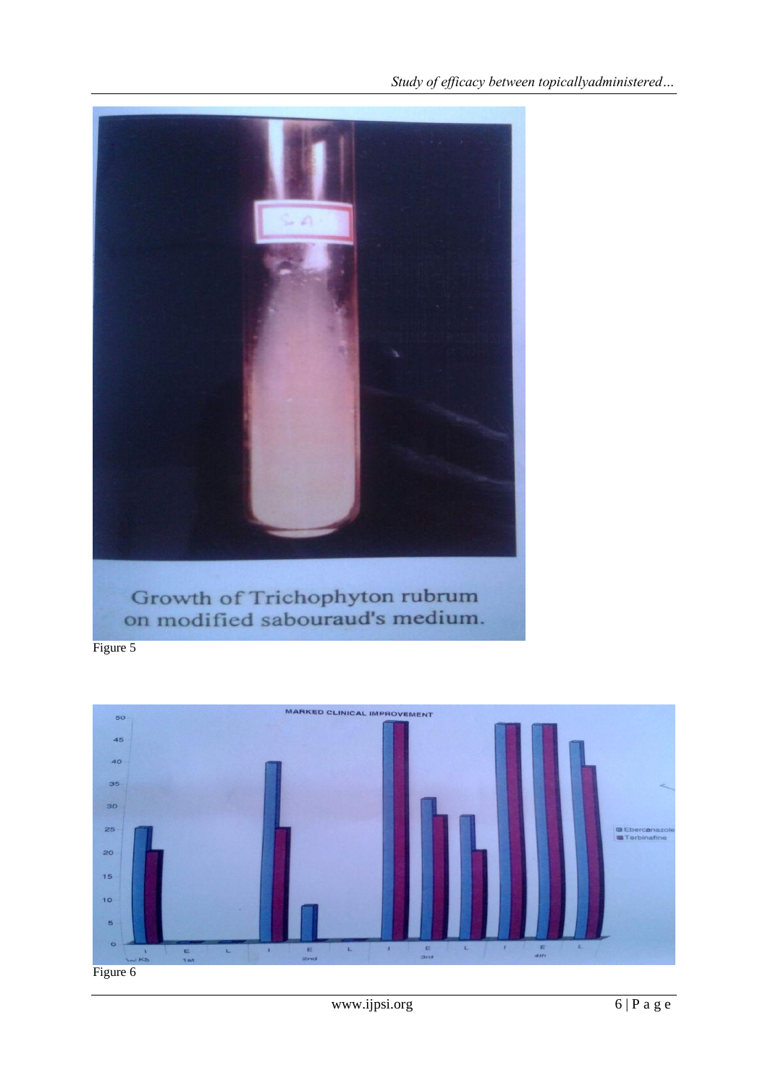

Figure 5

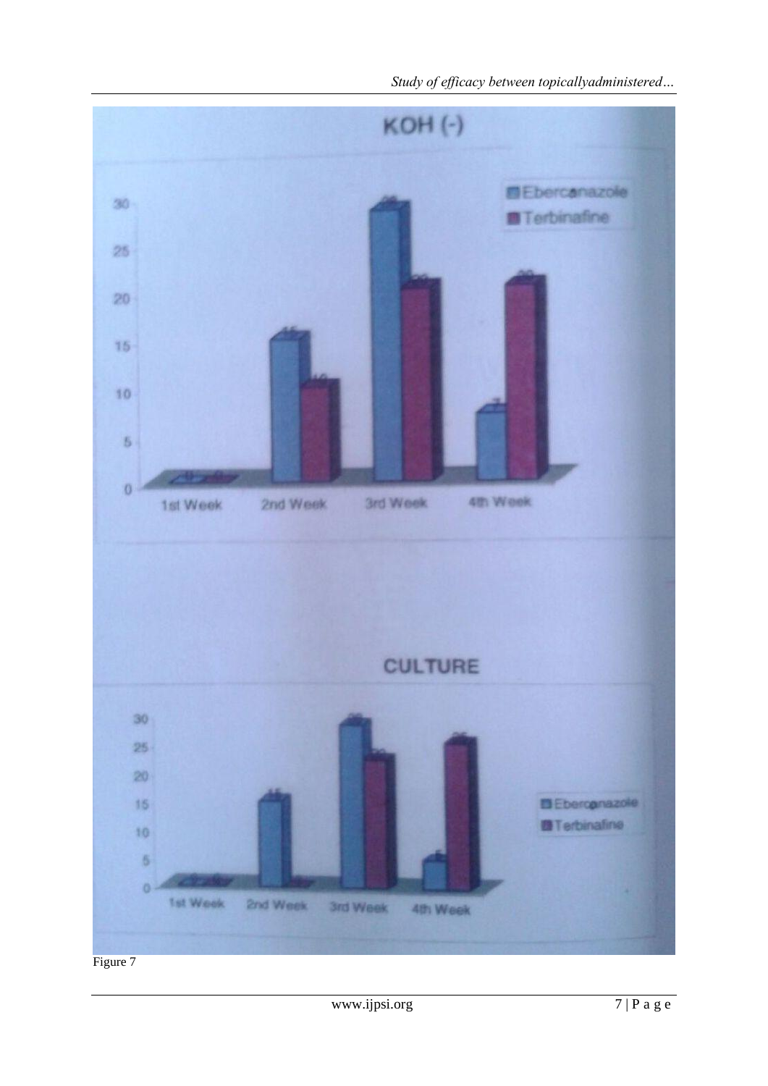

Study of efficacy between topicallyadministered...

Figure 7